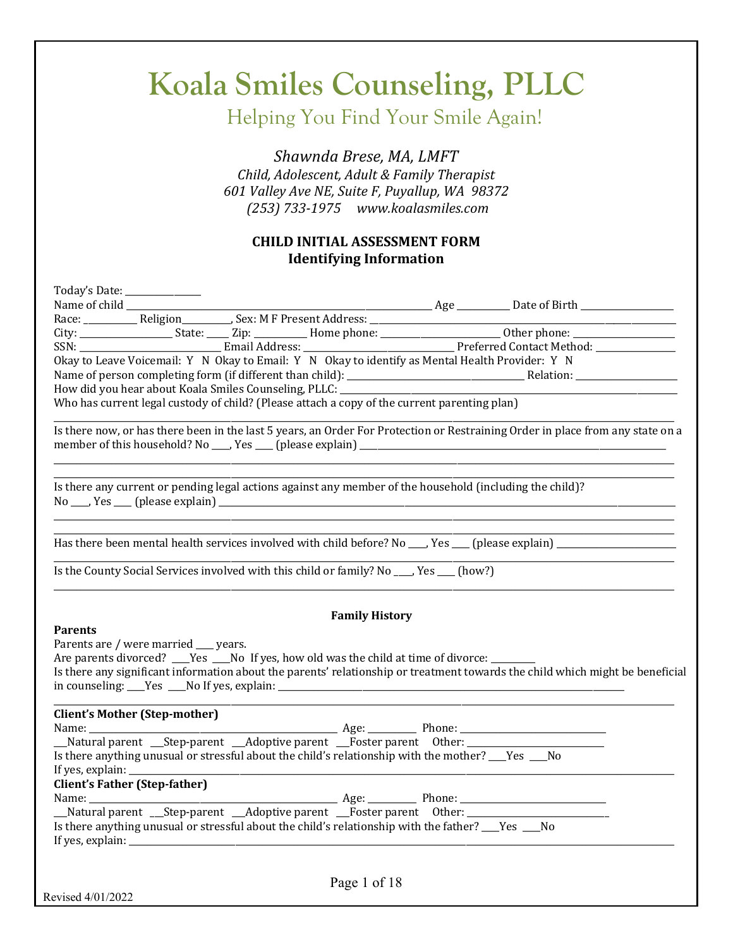Helping You Find Your Smile Again!

*Shawnda Brese, MA, LMFT Child, Adolescent, Adult & Family Therapist 601 Valley Ave NE, Suite F, Puyallup, WA 98372 (253) 733-1975 www.koalasmiles.com*

#### **CHILD INITIAL ASSESSMENT FORM Identifying Information**

| Today's Date: ______________                                                                                                   |  |
|--------------------------------------------------------------------------------------------------------------------------------|--|
|                                                                                                                                |  |
|                                                                                                                                |  |
|                                                                                                                                |  |
|                                                                                                                                |  |
| Okay to Leave Voicemail: Y N Okay to Email: Y N Okay to identify as Mental Health Provider: Y N                                |  |
|                                                                                                                                |  |
|                                                                                                                                |  |
| Who has current legal custody of child? (Please attach a copy of the current parenting plan)                                   |  |
| Is there now, or has there been in the last 5 years, an Order For Protection or Restraining Order in place from any state on a |  |
| Is there any current or pending legal actions against any member of the household (including the child)?                       |  |
| Has there been mental health services involved with child before? No ___, Yes ___ (please explain) ___________________         |  |
| Is the County Social Services involved with this child or family? No ___, Yes __ (how?)                                        |  |
| <b>Family History</b>                                                                                                          |  |
| <b>Parents</b>                                                                                                                 |  |
| Parents are / were married __ years.                                                                                           |  |
| Are parents divorced? ___Yes ___No If yes, how old was the child at time of divorce: _______                                   |  |
| Is there any significant information about the parents' relationship or treatment towards the child which might be beneficial  |  |
| <b>Client's Mother (Step-mother)</b>                                                                                           |  |
|                                                                                                                                |  |
| _Natural parent __Step-parent __Adoptive parent __Foster parent Other: _____________________________                           |  |
| Is there anything unusual or stressful about the child's relationship with the mother? ___Yes ___No                            |  |
|                                                                                                                                |  |
| <b>Client's Father (Step-father)</b>                                                                                           |  |
|                                                                                                                                |  |
| Is there anything unusual or stressful about the child's relationship with the father? ___Yes ___No                            |  |
|                                                                                                                                |  |
|                                                                                                                                |  |
| Page 1 of 18                                                                                                                   |  |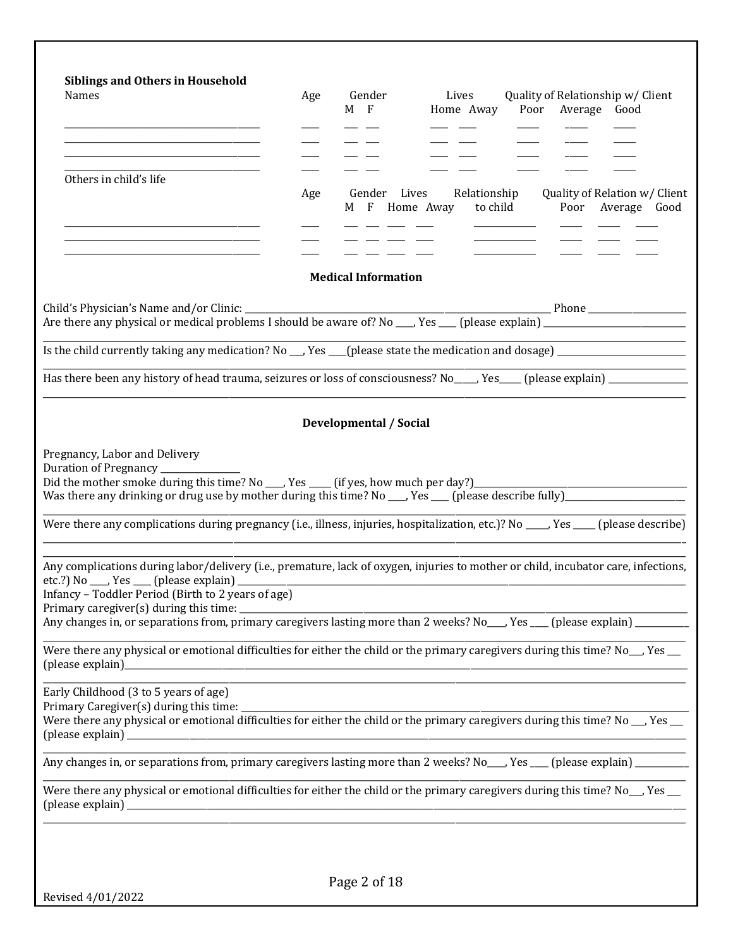| <b>Siblings and Others in Household</b><br>Names                                                                                               | Age | Gender<br>Lives<br>Quality of Relationship w/ Client<br>$M$ F<br>Poor Average Good<br>Home Away                                                                                                                                                                                 |
|------------------------------------------------------------------------------------------------------------------------------------------------|-----|---------------------------------------------------------------------------------------------------------------------------------------------------------------------------------------------------------------------------------------------------------------------------------|
| <u> 2000 - 2000 - 2000 - 2000 - 2000 - 2000 - 2000 - 2000 - 2000 - 2000 - 2000 - 2000 - 2000 - 2000 - 2000 - 200</u><br>Others in child's life | Age | Gender Lives<br>Relationship<br>Quality of Relation w/ Client<br>to child<br>M F Home Away<br>Poor Average Good                                                                                                                                                                 |
| <u> 1989 - Johann Harry Harry Harry Harry Harry Harry Harry Harry Harry Harry Harry Harry Harry Harry Harry Harry</u>                          |     | <b>Medical Information</b>                                                                                                                                                                                                                                                      |
|                                                                                                                                                |     | Is the child currently taking any medication? No __, Yes __(please state the medication and dosage) __________________                                                                                                                                                          |
|                                                                                                                                                |     |                                                                                                                                                                                                                                                                                 |
|                                                                                                                                                |     | <b>Developmental / Social</b>                                                                                                                                                                                                                                                   |
| Pregnancy, Labor and Delivery<br>Duration of Pregnancy _______                                                                                 |     | Was there any drinking or drug use by mother during this time? No ___, Yes ___ (please describe fully)_________________________________<br>Were there any complications during pregnancy (i.e., illness, injuries, hospitalization, etc.)? No _____, Yes ____ (please describe) |
| Infancy - Toddler Period (Birth to 2 years of age)<br>Primary caregiver(s) during this time: ________                                          |     | Any complications during labor/delivery (i.e., premature, lack of oxygen, injuries to mother or child, incubator care, infections,<br>Any changes in, or separations from, primary caregivers lasting more than 2 weeks? No___, Yes ___ (please explain) _________              |
|                                                                                                                                                |     | Were there any physical or emotional difficulties for either the child or the primary caregivers during this time? No_, Yes _                                                                                                                                                   |
| Early Childhood (3 to 5 years of age)<br>Primary Caregiver(s) during this time: ___                                                            |     | ,我们也不能在这里的时候,我们也不能在这里的时候,我们也不能会在这里的时候,我们也不能会在这里的时候,我们也不能会在这里的时候,我们也不能会在这里的时候,我们也<br>Were there any physical or emotional difficulties for either the child or the primary caregivers during this time? No __ Yes __                                                             |
|                                                                                                                                                |     | Any changes in, or separations from, primary caregivers lasting more than 2 weeks? No___, Yes ___ (please explain) ________                                                                                                                                                     |
|                                                                                                                                                |     | Were there any physical or emotional difficulties for either the child or the primary caregivers during this time? No <sub>__</sub> , Yes __                                                                                                                                    |
|                                                                                                                                                |     |                                                                                                                                                                                                                                                                                 |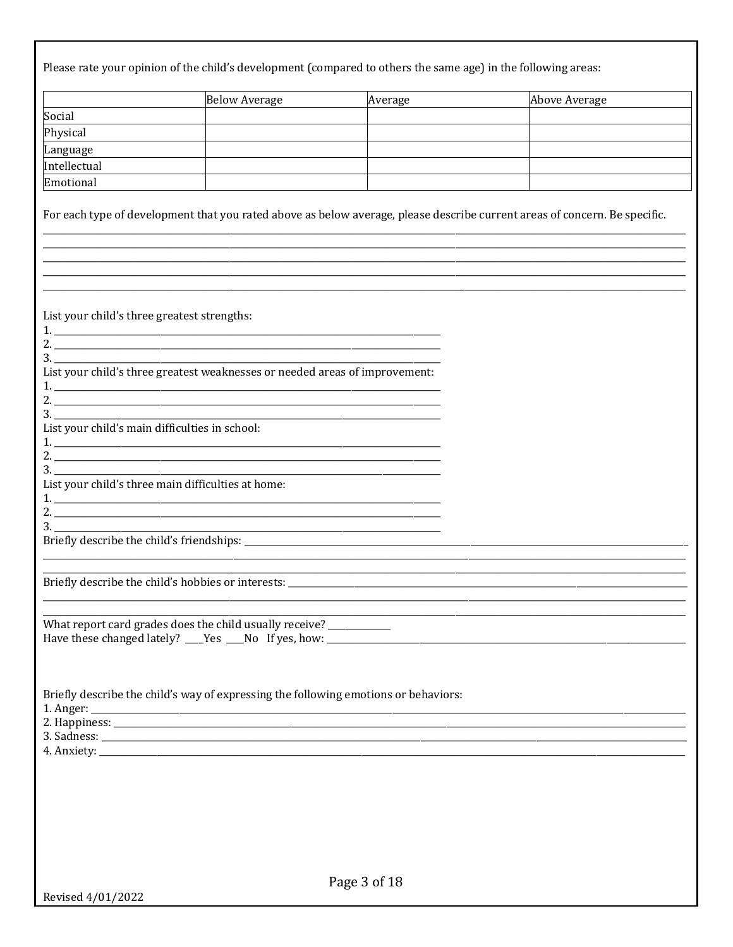|                                                    | Below Average                                                                       | Average | <b>Above Average</b>                                                                                                       |
|----------------------------------------------------|-------------------------------------------------------------------------------------|---------|----------------------------------------------------------------------------------------------------------------------------|
| Social                                             |                                                                                     |         |                                                                                                                            |
| Physical                                           |                                                                                     |         |                                                                                                                            |
| Language                                           |                                                                                     |         |                                                                                                                            |
| Intellectual                                       |                                                                                     |         |                                                                                                                            |
| Emotional                                          |                                                                                     |         |                                                                                                                            |
|                                                    |                                                                                     |         | For each type of development that you rated above as below average, please describe current areas of concern. Be specific. |
| List your child's three greatest strengths:        |                                                                                     |         |                                                                                                                            |
|                                                    |                                                                                     |         |                                                                                                                            |
| List your child's main difficulties in school:     | 2. $\overline{\phantom{a}}$ 3.                                                      |         |                                                                                                                            |
| List your child's three main difficulties at home: |                                                                                     |         |                                                                                                                            |
|                                                    |                                                                                     |         |                                                                                                                            |
| Briefly describe the child's hobbies or interests: |                                                                                     |         |                                                                                                                            |
|                                                    | What report card grades does the child usually receive? __________                  |         |                                                                                                                            |
|                                                    | Briefly describe the child's way of expressing the following emotions or behaviors: |         |                                                                                                                            |
|                                                    |                                                                                     |         |                                                                                                                            |
|                                                    |                                                                                     |         |                                                                                                                            |
|                                                    |                                                                                     |         |                                                                                                                            |
|                                                    |                                                                                     |         |                                                                                                                            |
|                                                    |                                                                                     |         |                                                                                                                            |
|                                                    |                                                                                     |         |                                                                                                                            |
|                                                    |                                                                                     |         |                                                                                                                            |
|                                                    |                                                                                     |         |                                                                                                                            |
|                                                    |                                                                                     |         |                                                                                                                            |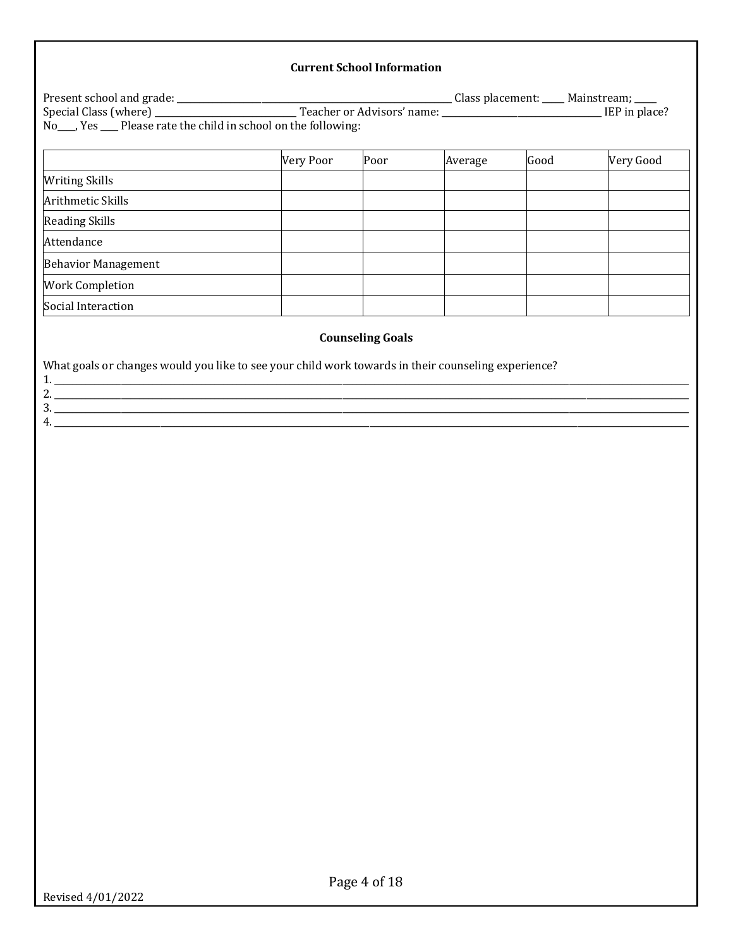#### **Current School Information**

|                                                                                                     | Very Poor | Poor                    | Average | Good | Very Good |
|-----------------------------------------------------------------------------------------------------|-----------|-------------------------|---------|------|-----------|
| <b>Writing Skills</b>                                                                               |           |                         |         |      |           |
| Arithmetic Skills                                                                                   |           |                         |         |      |           |
| <b>Reading Skills</b>                                                                               |           |                         |         |      |           |
| Attendance                                                                                          |           |                         |         |      |           |
| <b>Behavior Management</b>                                                                          |           |                         |         |      |           |
| <b>Work Completion</b>                                                                              |           |                         |         |      |           |
| Social Interaction                                                                                  |           |                         |         |      |           |
|                                                                                                     |           | <b>Counseling Goals</b> |         |      |           |
| What goals or changes would you like to see your child work towards in their counseling experience? |           |                         |         |      |           |
|                                                                                                     |           |                         |         |      |           |
|                                                                                                     |           |                         |         |      |           |
|                                                                                                     |           |                         |         |      |           |
| 4.                                                                                                  |           |                         |         |      |           |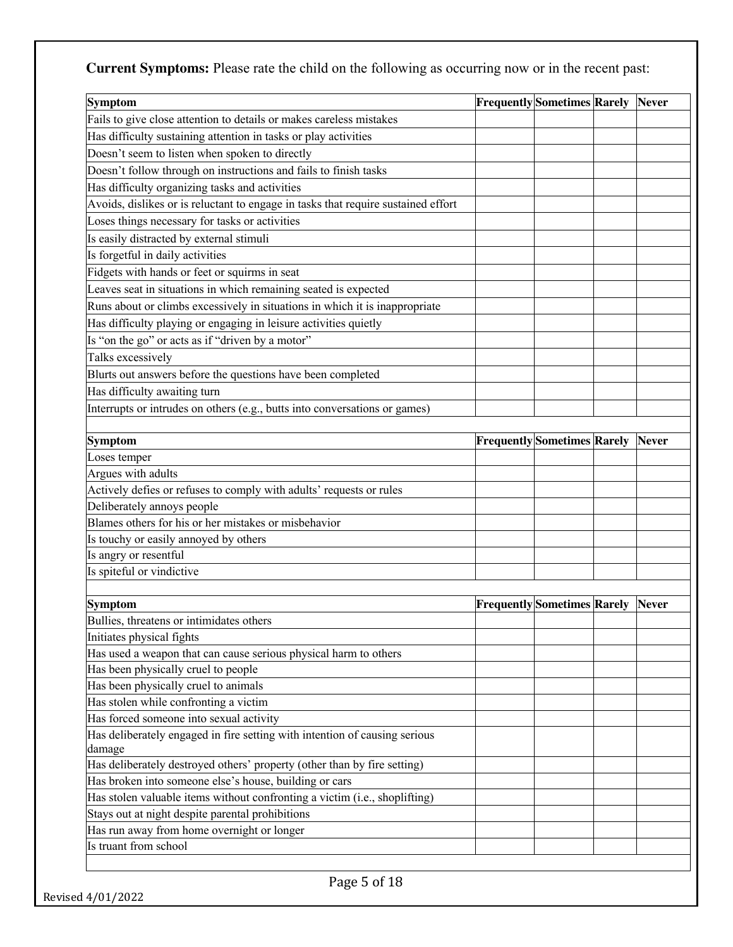**Current Symptoms:** Please rate the child on the following as occurring now or in the recent past:

| <b>Symptom</b>                                                                    | <b>Frequently Sometimes Rarely Never</b> |                                          |              |
|-----------------------------------------------------------------------------------|------------------------------------------|------------------------------------------|--------------|
| Fails to give close attention to details or makes careless mistakes               |                                          |                                          |              |
| Has difficulty sustaining attention in tasks or play activities                   |                                          |                                          |              |
| Doesn't seem to listen when spoken to directly                                    |                                          |                                          |              |
| Doesn't follow through on instructions and fails to finish tasks                  |                                          |                                          |              |
| Has difficulty organizing tasks and activities                                    |                                          |                                          |              |
| Avoids, dislikes or is reluctant to engage in tasks that require sustained effort |                                          |                                          |              |
| Loses things necessary for tasks or activities                                    |                                          |                                          |              |
| Is easily distracted by external stimuli                                          |                                          |                                          |              |
| Is forgetful in daily activities                                                  |                                          |                                          |              |
| Fidgets with hands or feet or squirms in seat                                     |                                          |                                          |              |
| Leaves seat in situations in which remaining seated is expected                   |                                          |                                          |              |
| Runs about or climbs excessively in situations in which it is inappropriate       |                                          |                                          |              |
| Has difficulty playing or engaging in leisure activities quietly                  |                                          |                                          |              |
| Is "on the go" or acts as if "driven by a motor"                                  |                                          |                                          |              |
| Talks excessively                                                                 |                                          |                                          |              |
| Blurts out answers before the questions have been completed                       |                                          |                                          |              |
| Has difficulty awaiting turn                                                      |                                          |                                          |              |
|                                                                                   |                                          |                                          |              |
| Interrupts or intrudes on others (e.g., butts into conversations or games)        |                                          |                                          |              |
| <b>Symptom</b>                                                                    |                                          | <b>Frequently Sometimes Rarely Never</b> |              |
| Loses temper                                                                      |                                          |                                          |              |
| Argues with adults                                                                |                                          |                                          |              |
| Actively defies or refuses to comply with adults' requests or rules               |                                          |                                          |              |
| Deliberately annoys people                                                        |                                          |                                          |              |
| Blames others for his or her mistakes or misbehavior                              |                                          |                                          |              |
| Is touchy or easily annoyed by others                                             |                                          |                                          |              |
| Is angry or resentful                                                             |                                          |                                          |              |
| Is spiteful or vindictive                                                         |                                          |                                          |              |
|                                                                                   |                                          |                                          |              |
| <b>Symptom</b>                                                                    | <b>Frequently</b> Sometimes Rarely       |                                          | <b>Never</b> |
| Bullies, threatens or intimidates others                                          |                                          |                                          |              |
| Initiates physical fights                                                         |                                          |                                          |              |
| Has used a weapon that can cause serious physical harm to others                  |                                          |                                          |              |
| Has been physically cruel to people                                               |                                          |                                          |              |
| Has been physically cruel to animals                                              |                                          |                                          |              |
| Has stolen while confronting a victim                                             |                                          |                                          |              |
| Has forced someone into sexual activity                                           |                                          |                                          |              |
| Has deliberately engaged in fire setting with intention of causing serious        |                                          |                                          |              |
| damage                                                                            |                                          |                                          |              |
| Has deliberately destroyed others' property (other than by fire setting)          |                                          |                                          |              |
| Has broken into someone else's house, building or cars                            |                                          |                                          |              |
| Has stolen valuable items without confronting a victim (i.e., shoplifting)        |                                          |                                          |              |
| Stays out at night despite parental prohibitions                                  |                                          |                                          |              |
| Has run away from home overnight or longer<br>Is truant from school               |                                          |                                          |              |
|                                                                                   |                                          |                                          |              |
| Page 5 of 18                                                                      |                                          |                                          |              |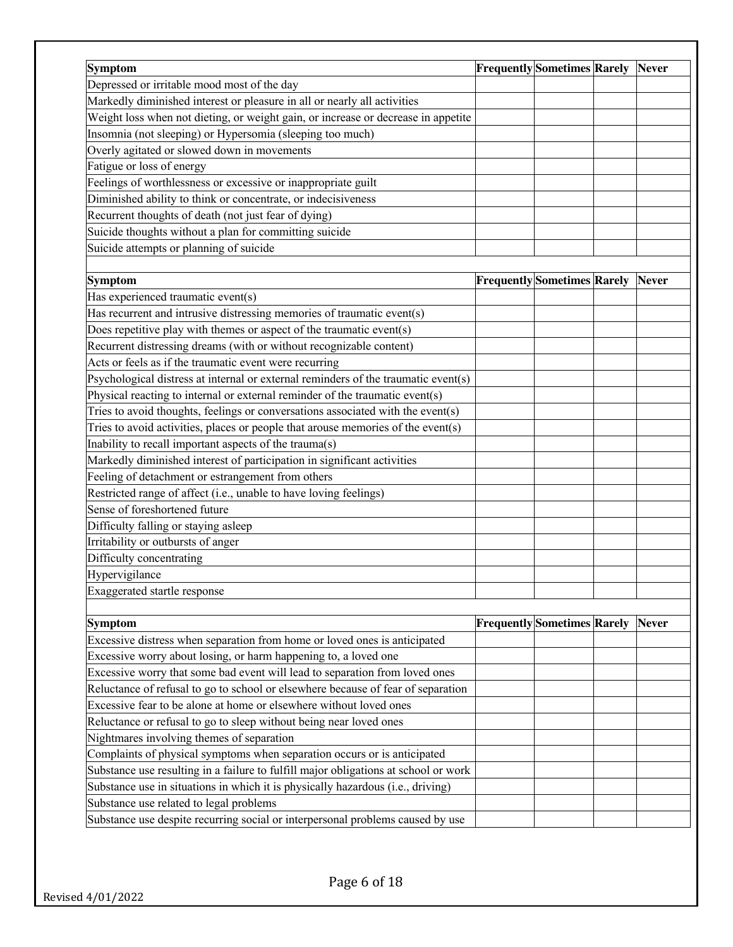| <b>Symptom</b>                                                                      | <b>Frequently Sometimes Rarely</b> | <b>Never</b> |
|-------------------------------------------------------------------------------------|------------------------------------|--------------|
| Depressed or irritable mood most of the day                                         |                                    |              |
| Markedly diminished interest or pleasure in all or nearly all activities            |                                    |              |
| Weight loss when not dieting, or weight gain, or increase or decrease in appetite   |                                    |              |
| Insomnia (not sleeping) or Hypersomia (sleeping too much)                           |                                    |              |
| Overly agitated or slowed down in movements                                         |                                    |              |
| Fatigue or loss of energy                                                           |                                    |              |
| Feelings of worthlessness or excessive or inappropriate guilt                       |                                    |              |
| Diminished ability to think or concentrate, or indecisiveness                       |                                    |              |
|                                                                                     |                                    |              |
| Recurrent thoughts of death (not just fear of dying)                                |                                    |              |
| Suicide thoughts without a plan for committing suicide                              |                                    |              |
| Suicide attempts or planning of suicide                                             |                                    |              |
|                                                                                     |                                    |              |
| <b>Symptom</b>                                                                      | <b>Frequently</b> Sometimes Rarely | <b>Never</b> |
| Has experienced traumatic event(s)                                                  |                                    |              |
| Has recurrent and intrusive distressing memories of traumatic event(s)              |                                    |              |
| Does repetitive play with themes or aspect of the traumatic event(s)                |                                    |              |
| Recurrent distressing dreams (with or without recognizable content)                 |                                    |              |
| Acts or feels as if the traumatic event were recurring                              |                                    |              |
| Psychological distress at internal or external reminders of the traumatic event(s)  |                                    |              |
| Physical reacting to internal or external reminder of the traumatic event(s)        |                                    |              |
| Tries to avoid thoughts, feelings or conversations associated with the event(s)     |                                    |              |
| Tries to avoid activities, places or people that arouse memories of the event(s)    |                                    |              |
| Inability to recall important aspects of the trauma(s)                              |                                    |              |
| Markedly diminished interest of participation in significant activities             |                                    |              |
| Feeling of detachment or estrangement from others                                   |                                    |              |
| Restricted range of affect (i.e., unable to have loving feelings)                   |                                    |              |
| Sense of foreshortened future                                                       |                                    |              |
| Difficulty falling or staying asleep                                                |                                    |              |
| Irritability or outbursts of anger                                                  |                                    |              |
| Difficulty concentrating                                                            |                                    |              |
| Hypervigilance                                                                      |                                    |              |
| Exaggerated startle response                                                        |                                    |              |
|                                                                                     |                                    |              |
| <b>Symptom</b>                                                                      | <b>Frequently</b> Sometimes Rarely | <b>Never</b> |
| Excessive distress when separation from home or loved ones is anticipated           |                                    |              |
| Excessive worry about losing, or harm happening to, a loved one                     |                                    |              |
| Excessive worry that some bad event will lead to separation from loved ones         |                                    |              |
| Reluctance of refusal to go to school or elsewhere because of fear of separation    |                                    |              |
| Excessive fear to be alone at home or elsewhere without loved ones                  |                                    |              |
| Reluctance or refusal to go to sleep without being near loved ones                  |                                    |              |
| Nightmares involving themes of separation                                           |                                    |              |
| Complaints of physical symptoms when separation occurs or is anticipated            |                                    |              |
| Substance use resulting in a failure to fulfill major obligations at school or work |                                    |              |
| Substance use in situations in which it is physically hazardous (i.e., driving)     |                                    |              |
|                                                                                     |                                    |              |
| Substance use related to legal problems                                             |                                    |              |
| Substance use despite recurring social or interpersonal problems caused by use      |                                    |              |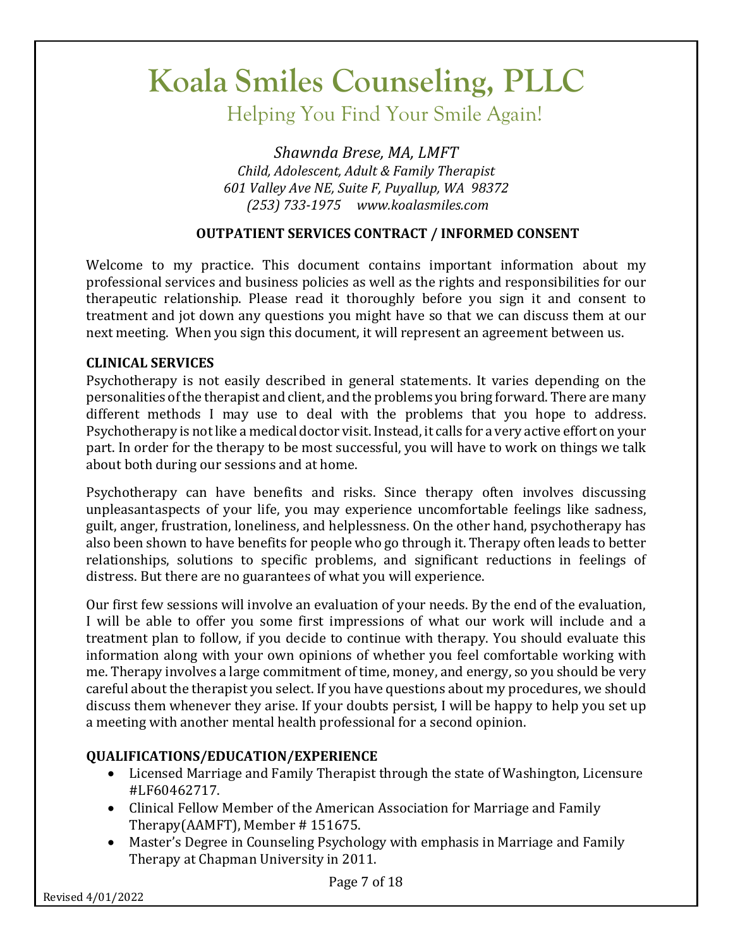Helping You Find Your Smile Again!

*Shawnda Brese, MA, LMFT Child, Adolescent, Adult & Family Therapist 601 Valley Ave NE, Suite F, Puyallup, WA 98372 (253) 733-1975 www.koalasmiles.com*

### **OUTPATIENT SERVICES CONTRACT / INFORMED CONSENT**

Welcome to my practice. This document contains important information about my professional services and business policies as well as the rights and responsibilities for our therapeutic relationship. Please read it thoroughly before you sign it and consent to treatment and jot down any questions you might have so that we can discuss them at our next meeting. When you sign this document, it will represent an agreement between us.

#### **CLINICAL SERVICES**

Psychotherapy is not easily described in general statements. It varies depending on the personalities of the therapist and client, and the problems you bring forward. There are many different methods I may use to deal with the problems that you hope to address. Psychotherapy is not like a medical doctor visit. Instead, it calls for a very active effort on your part. In order for the therapy to be most successful, you will have to work on things we talk about both during our sessions and at home.

Psychotherapy can have benefits and risks. Since therapy often involves discussing unpleasantaspects of your life, you may experience uncomfortable feelings like sadness, guilt, anger, frustration, loneliness, and helplessness. On the other hand, psychotherapy has also been shown to have benefits for people who go through it. Therapy often leads to better relationships, solutions to specific problems, and significant reductions in feelings of distress. But there are no guarantees of what you will experience.

Our first few sessions will involve an evaluation of your needs. By the end of the evaluation, I will be able to offer you some first impressions of what our work will include and a treatment plan to follow, if you decide to continue with therapy. You should evaluate this information along with your own opinions of whether you feel comfortable working with me. Therapy involves a large commitment of time, money, and energy, so you should be very careful about the therapist you select. If you have questions about my procedures, we should discuss them whenever they arise. If your doubts persist, I will be happy to help you set up a meeting with another mental health professional for a second opinion.

## **QUALIFICATIONS/EDUCATION/EXPERIENCE**

- Licensed Marriage and Family Therapist through the state of Washington, Licensure #LF60462717.
- Clinical Fellow Member of the American Association for Marriage and Family Therapy(AAMFT), Member  $\#$  151675.
- Master's Degree in Counseling Psychology with emphasis in Marriage and Family Therapy at Chapman University in 2011.

Revised 4/01/2022

Page 7 of 18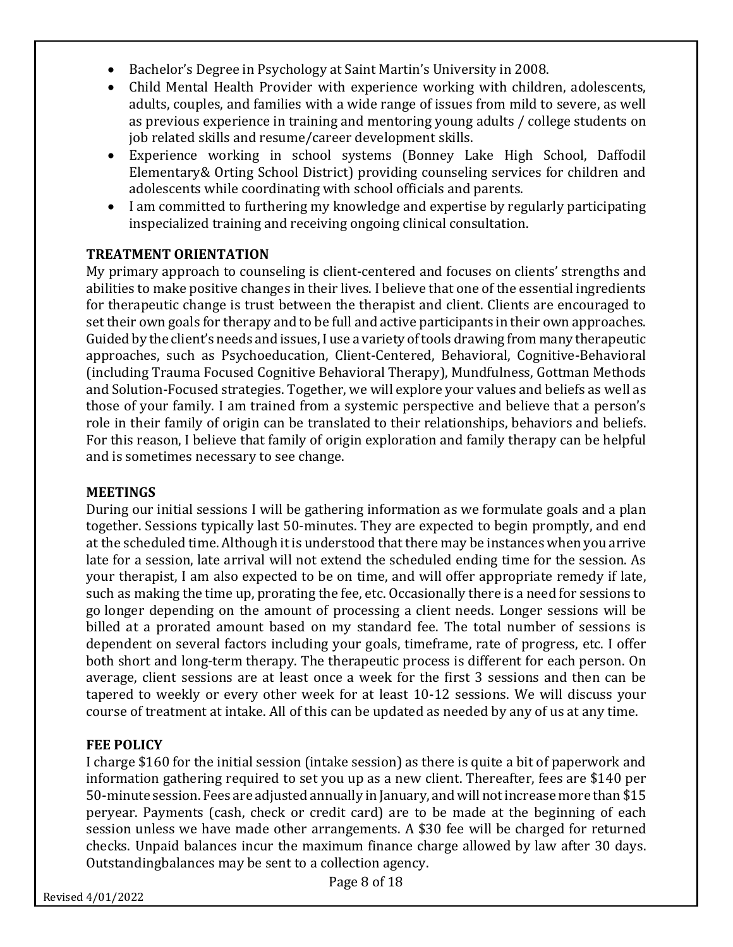- Bachelor's Degree in Psychology at Saint Martin's University in 2008.
- Child Mental Health Provider with experience working with children, adolescents, adults, couples, and families with a wide range of issues from mild to severe, as well as previous experience in training and mentoring young adults / college students on job related skills and resume/career development skills.
- Experience working in school systems (Bonney Lake High School, Daffodil Elementary& Orting School District) providing counseling services for children and adolescents while coordinating with school officials and parents.
- I am committed to furthering my knowledge and expertise by regularly participating inspecialized training and receiving ongoing clinical consultation.

#### **TREATMENT ORIENTATION**

My primary approach to counseling is client-centered and focuses on clients' strengths and abilities to make positive changes in their lives. I believe that one of the essential ingredients for therapeutic change is trust between the therapist and client. Clients are encouraged to set their own goals for therapy and to be full and active participants in their own approaches. Guided by the client's needs and issues,I use a variety oftools drawing from many therapeutic approaches, such as Psychoeducation, Client-Centered, Behavioral, Cognitive-Behavioral (including Trauma Focused Cognitive Behavioral Therapy), Mundfulness, Gottman Methods and Solution-Focused strategies. Together, we will explore your values and beliefs as well as those of your family. I am trained from a systemic perspective and believe that a person's role in their family of origin can be translated to their relationships, behaviors and beliefs. For this reason, I believe that family of origin exploration and family therapy can be helpful and is sometimes necessary to see change.

#### **MEETINGS**

During our initial sessions I will be gathering information as we formulate goals and a plan together. Sessions typically last 50-minutes. They are expected to begin promptly, and end at the scheduled time. Although it is understood that there may be instances when you arrive late for a session, late arrival will not extend the scheduled ending time for the session. As your therapist, I am also expected to be on time, and will offer appropriate remedy if late, such as making the time up, prorating the fee, etc. Occasionally there is a need for sessions to go longer depending on the amount of processing a client needs. Longer sessions will be billed at a prorated amount based on my standard fee. The total number of sessions is dependent on several factors including your goals, timeframe, rate of progress, etc. I offer both short and long-term therapy. The therapeutic process is different for each person. On average, client sessions are at least once a week for the first 3 sessions and then can be tapered to weekly or every other week for at least 10-12 sessions. We will discuss your course of treatment at intake. All of this can be updated as needed by any of us at any time.

#### **FEE POLICY**

I charge \$160 for the initial session (intake session) as there is quite a bit of paperwork and information gathering required to set you up as a new client. Thereafter, fees are \$140 per 50-minute session. Fees are adjusted annually in January, andwill notincrease more than \$15 peryear. Payments (cash, check or credit card) are to be made at the beginning of each session unless we have made other arrangements. A \$30 fee will be charged for returned checks. Unpaid balances incur the maximum finance charge allowed by law after 30 days. Outstandingbalances may be sent to a collection agency.

Page 8 of 18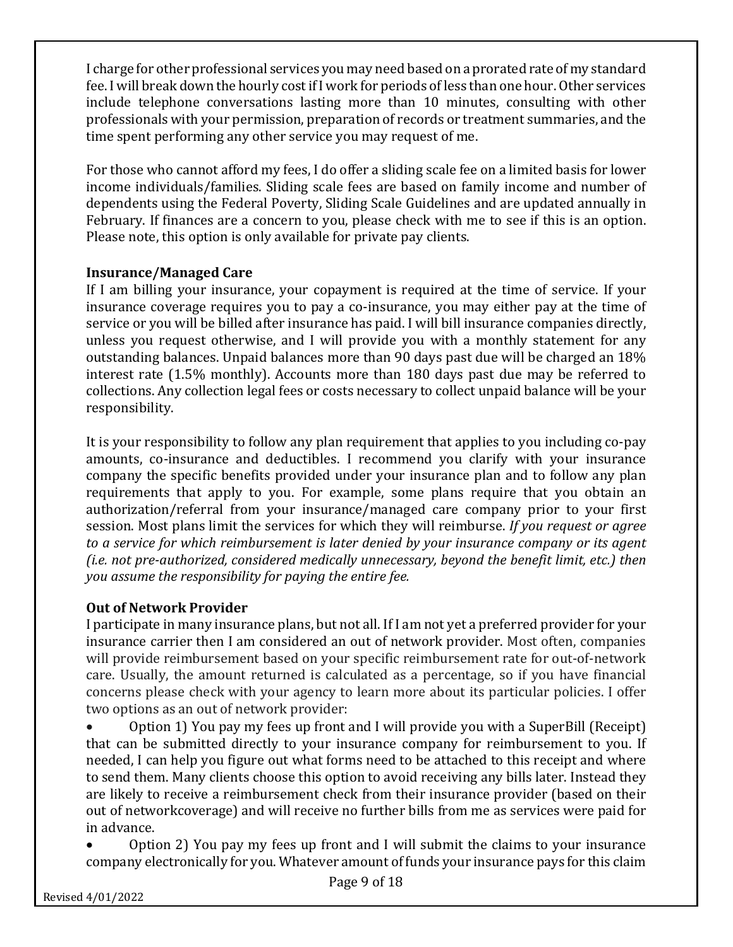I charge for other professional services you may need based on a prorated rate of my standard fee. I will break down the hourly cost if I work for periods of less than one hour. Other services include telephone conversations lasting more than 10 minutes, consulting with other professionals with your permission, preparation of records or treatment summaries, and the time spent performing any other service you may request of me.

For those who cannot afford my fees, I do offer a sliding scale fee on a limited basis for lower income individuals/families. Sliding scale fees are based on family income and number of dependents using the Federal Poverty, Sliding Scale Guidelines and are updated annually in February. If finances are a concern to you, please check with me to see if this is an option. Please note, this option is only available for private pay clients.

## **Insurance/Managed Care**

If I am billing your insurance, your copayment is required at the time of service. If your insurance coverage requires you to pay a co-insurance, you may either pay at the time of service or you will be billed after insurance has paid. I will bill insurance companies directly, unless you request otherwise, and I will provide you with a monthly statement for any outstanding balances. Unpaid balances more than 90 days past due will be charged an 18% interest rate (1.5% monthly). Accounts more than 180 days past due may be referred to collections. Any collection legal fees or costs necessary to collect unpaid balance will be your responsibility.

It is your responsibility to follow any plan requirement that applies to you including co-pay amounts, co-insurance and deductibles. I recommend you clarify with your insurance company the specific benefits provided under your insurance plan and to follow any plan requirements that apply to you. For example, some plans require that you obtain an authorization/referral from your insurance/managed care company prior to your first session. Most plans limit the services for which they will reimburse. If you request or agree *to a service for which reimbursement is later denied by your insurance company or its agent (i.e. not pre-authorized, considered medically unnecessary, beyond the benefit limit, etc.)* then *you assume the responsibility for paying the entire fee.*

## **Out of Network Provider**

I participate in many insurance plans, but not all. If I am not yet a preferred provider for your insurance carrier then I am considered an out of network provider. Most often, companies will provide reimbursement based on your specific reimbursement rate for out-of-network care. Usually, the amount returned is calculated as a percentage, so if you have financial concerns please check with your agency to learn more about its particular policies. I offer two options as an out of network provider:

Option 1) You pay my fees up front and I will provide you with a SuperBill (Receipt) that can be submitted directly to your insurance company for reimbursement to you. If needed, I can help you figure out what forms need to be attached to this receipt and where to send them. Many clients choose this option to avoid receiving any bills later. Instead they are likely to receive a reimbursement check from their insurance provider (based on their out of networkcoverage) and will receive no further bills from me as services were paid for in advance.

Option 2) You pay my fees up front and I will submit the claims to your insurance company electronically for you. Whatever amount of funds your insurance pays for this claim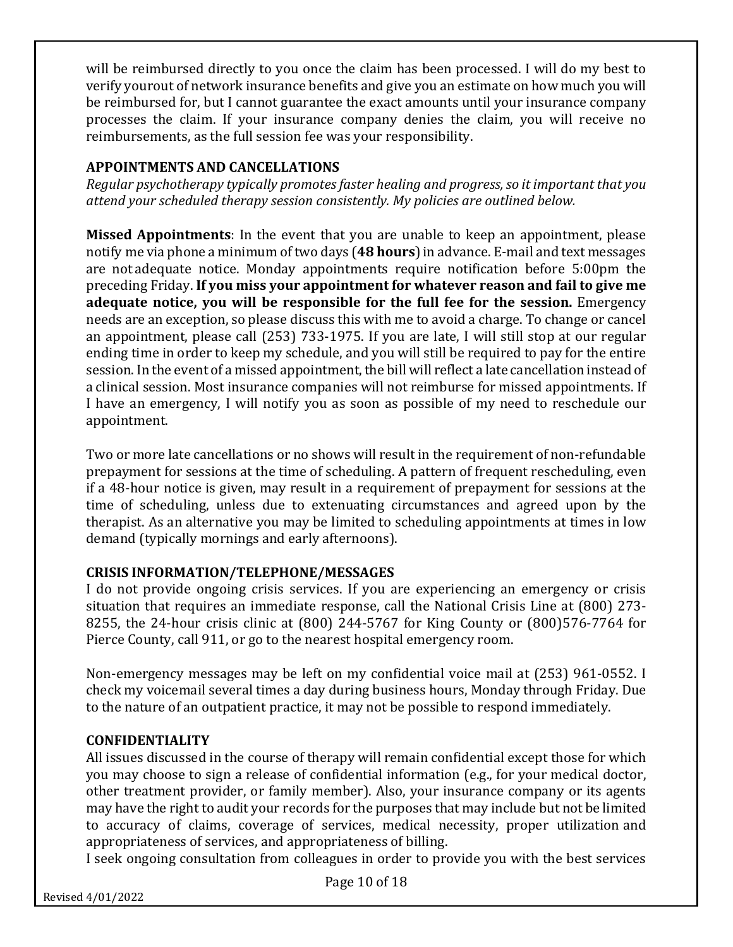will be reimbursed directly to you once the claim has been processed. I will do my best to verify yourout of network insurance benefits and give you an estimate on how much you will be reimbursed for, but I cannot guarantee the exact amounts until your insurance company processes the claim. If your insurance company denies the claim, you will receive no reimbursements, as the full session fee was your responsibility.

### **APPOINTMENTS AND CANCELLATIONS**

*Regular psychotherapy typically promotes faster healing and progress, so it important that you attend your scheduled therapy session consistently. My policies are outlined below.*

**Missed Appointments**: In the event that you are unable to keep an appointment, please notify me via phone a minimum of two days (**48 hours**)in advance. E-mail and text messages are not adequate notice. Monday appointments require notification before 5:00pm the preceding Friday. If you miss your appointment for whatever reason and fail to give me adequate notice, you will be responsible for the full fee for the session. Emergency needs are an exception, so please discuss this with me to avoid a charge. To change or cancel an appointment, please call (253) 733-1975. If you are late, I will still stop at our regular ending time in order to keep my schedule, and you will still be required to pay for the entire session. In the event of a missed appointment, the bill will reflect a late cancellation instead of a clinical session. Most insurance companies will not reimburse for missed appointments. If I have an emergency, I will notify you as soon as possible of my need to reschedule our appointment.

Two or more late cancellations or no shows will result in the requirement of non-refundable prepayment for sessions at the time of scheduling. A pattern of frequent rescheduling, even if a 48-hour notice is given, may result in a requirement of prepayment for sessions at the time of scheduling, unless due to extenuating circumstances and agreed upon by the therapist. As an alternative you may be limited to scheduling appointments at times in low demand (typically mornings and early afternoons).

## **CRISIS INFORMATION/TELEPHONE/MESSAGES**

I do not provide ongoing crisis services. If you are experiencing an emergency or crisis situation that requires an immediate response, call the National Crisis Line at (800) 273-8255, the 24-hour crisis clinic at (800) 244-5767 for King County or (800)576-7764 for Pierce County, call 911, or go to the nearest hospital emergency room.

Non-emergency messages may be left on my confidential voice mail at (253) 961-0552. I check my voicemail several times a day during business hours, Monday through Friday. Due to the nature of an outpatient practice, it may not be possible to respond immediately.

#### **CONFIDENTIALITY**

All issues discussed in the course of therapy will remain confidential except those for which you may choose to sign a release of confidential information (e.g., for your medical doctor, other treatment provider, or family member). Also, your insurance company or its agents may have the right to audit your records for the purposes that may include but not be limited to accuracy of claims, coverage of services, medical necessity, proper utilization and appropriateness of services, and appropriateness of billing.

I seek ongoing consultation from colleagues in order to provide you with the best services

Page 10 of 18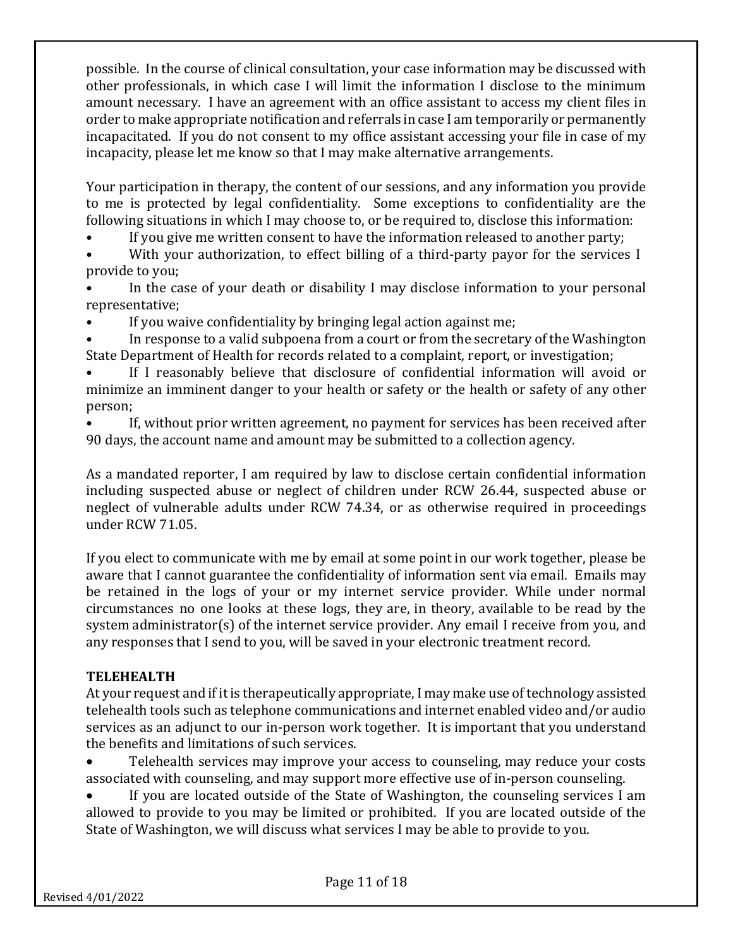possible. In the course of clinical consultation, your case information may be discussed with other professionals, in which case I will limit the information I disclose to the minimum amount necessary. I have an agreement with an office assistant to access my client files in order to make appropriate notification and referrals in case I am temporarily or permanently incapacitated. If you do not consent to my office assistant accessing your file in case of my incapacity, please let me know so that I may make alternative arrangements.

Your participation in therapy, the content of our sessions, and any information you provide to me is protected by legal confidentiality. Some exceptions to confidentiality are the following situations in which I may choose to, or be required to, disclose this information:

- If you give me written consent to have the information released to another party;
- With your authorization, to effect billing of a third-party payor for the services I provide to you;
- In the case of your death or disability I may disclose information to your personal representative;
- If you waive confidentiality by bringing legal action against me;
- In response to a valid subpoena from a court or from the secretary of the Washington State Department of Health for records related to a complaint, report, or investigation;
- If I reasonably believe that disclosure of confidential information will avoid or minimize an imminent danger to your health or safety or the health or safety of any other person;
- If, without prior written agreement, no payment for services has been received after 90 days, the account name and amount may be submitted to a collection agency.

As a mandated reporter, I am required by law to disclose certain confidential information including suspected abuse or neglect of children under RCW 26.44, suspected abuse or neglect of vulnerable adults under RCW 74.34, or as otherwise required in proceedings under RCW 71.05.

If you elect to communicate with me by email at some point in our work together, please be aware that I cannot guarantee the confidentiality of information sent via email. Emails may be retained in the logs of your or my internet service provider. While under normal circumstances no one looks at these logs, they are, in theory, available to be read by the system administrator(s) of the internet service provider. Any email I receive from you, and any responses that I send to you, will be saved in your electronic treatment record.

## **TELEHEALTH**

At your request and if it is therapeutically appropriate, I may make use of technology assisted telehealth tools such as telephone communications and internet enabled video and/or audio services as an adjunct to our in-person work together. It is important that you understand the benefits and limitations of such services.

- Telehealth services may improve your access to counseling, may reduce your costs associated with counseling, and may support more effective use of in-person counseling.
- If you are located outside of the State of Washington, the counseling services I am allowed to provide to you may be limited or prohibited. If you are located outside of the State of Washington, we will discuss what services I may be able to provide to you.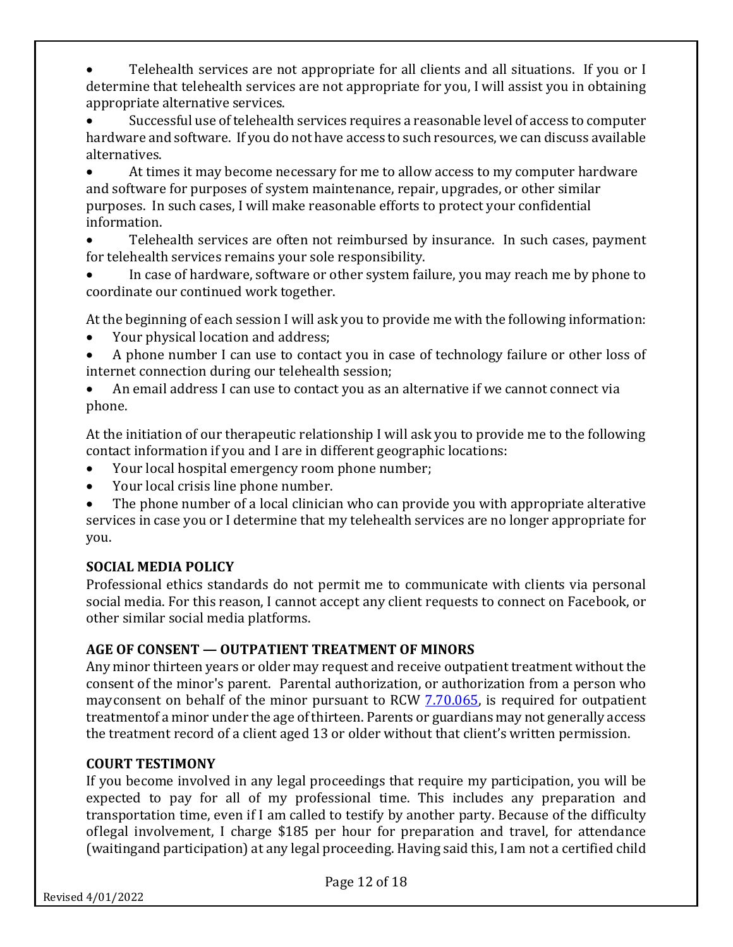Telehealth services are not appropriate for all clients and all situations. If you or I determine that telehealth services are not appropriate for you, I will assist you in obtaining appropriate alternative services.

Successful use of telehealth services requires a reasonable level of access to computer hardware and software. If you do not have access to such resources, we can discuss available alternatives.

At times it may become necessary for me to allow access to my computer hardware and software for purposes of system maintenance, repair, upgrades, or other similar purposes. In such cases, I will make reasonable efforts to protect your confidential information.

Telehealth services are often not reimbursed by insurance. In such cases, payment for telehealth services remains your sole responsibility.

In case of hardware, software or other system failure, you may reach me by phone to coordinate our continued work together.

At the beginning of each session I will ask you to provide me with the following information:

- Your physical location and address;
- A phone number I can use to contact you in case of technology failure or other loss of internet connection during our telehealth session;
- An email address I can use to contact you as an alternative if we cannot connect via phone.

At the initiation of our therapeutic relationship I will ask you to provide me to the following contact information if you and I are in different geographic locations:

- Your local hospital emergency room phone number;
- Your local crisis line phone number.

The phone number of a local clinician who can provide you with appropriate alterative services in case you or I determine that my telehealth services are no longer appropriate for you.

## **SOCIAL MEDIA POLICY**

Professional ethics standards do not permit me to communicate with clients via personal social media. For this reason, I cannot accept any client requests to connect on Facebook, or other similar social media platforms.

## **AGE OF CONSENT — OUTPATIENT TREATMENT OF MINORS**

Any minor thirteen years or older may request and receive outpatient treatment without the consent of the minor's parent. Parental authorization, or authorization from a person who mayconsent on behalf of the minor pursuant to RCW 7.70.065, is required for outpatient treatmentof a minor under the age of thirteen. Parents or guardians may not generally access the treatment record of a client aged 13 or older without that client's written permission.

## **COURT TESTIMONY**

If you become involved in any legal proceedings that require my participation, you will be expected to pay for all of my professional time. This includes any preparation and transportation time, even if I am called to testify by another party. Because of the difficulty oflegal involvement, I charge \$185 per hour for preparation and travel, for attendance (waitingand participation) at any legal proceeding. Having said this, I am not a certified child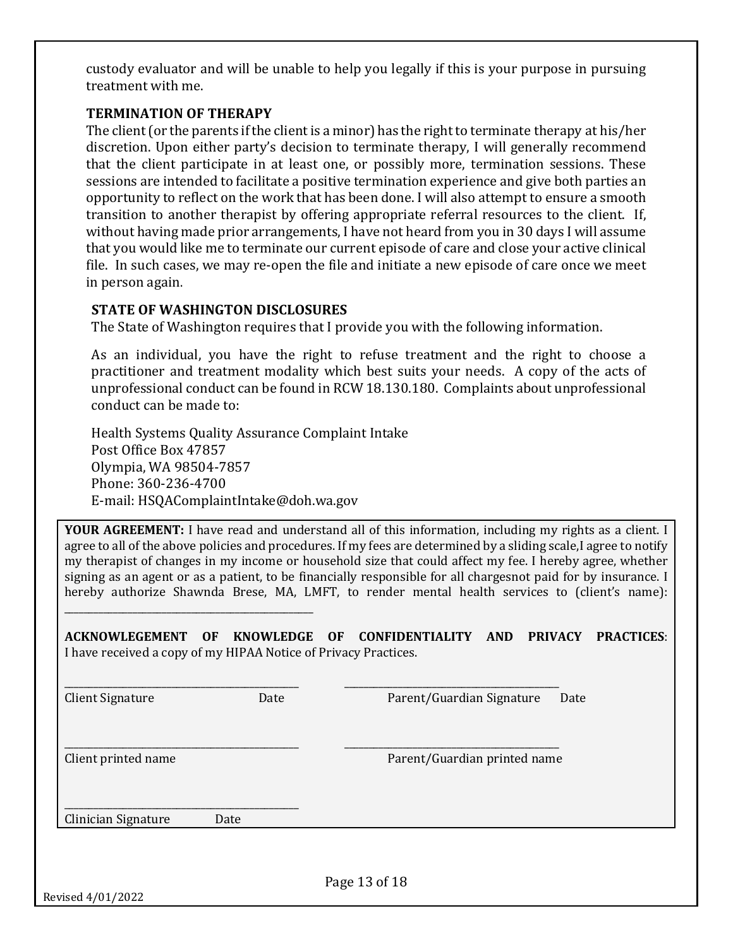custody evaluator and will be unable to help you legally if this is your purpose in pursuing treatment with me.

#### **TERMINATION OF THERAPY**

The client (or the parents if the client is a minor) has the right to terminate therapy at his/her discretion. Upon either party's decision to terminate therapy, I will generally recommend that the client participate in at least one, or possibly more, termination sessions. These sessions are intended to facilitate a positive termination experience and give both parties an opportunity to reflect on the work that has been done. I will also attempt to ensure a smooth transition to another therapist by offering appropriate referral resources to the client. If, without having made prior arrangements, I have not heard from you in 30 days I will assume that you would like me to terminate our current episode of care and close your active clinical file. In such cases, we may re-open the file and initiate a new episode of care once we meet in person again.

#### **STATE OF WASHINGTON DISCLOSURES**

The State of Washington requires that I provide you with the following information.

As an individual, you have the right to refuse treatment and the right to choose a practitioner and treatment modality which best suits your needs. A copy of the acts of unprofessional conduct can be found in RCW 18.130.180. Complaints about unprofessional  $\frac{1}{2}$  conduct can be made to:

Health Systems Quality Assurance Complaint Intake Post Office Box 47857 Olympia, WA 98504-7857 Phone: 360-236-4700 E-mail: HSQAComplaintIntake@doh.wa.gov

\_\_\_\_\_\_\_\_\_\_\_\_\_\_\_\_\_\_\_\_\_\_\_\_\_\_\_\_\_\_\_\_\_\_\_\_\_\_\_\_\_\_\_\_\_\_\_\_\_\_\_

**YOUR AGREEMENT:** I have read and understand all of this information, including my rights as a client. I agree to all of the above policies and procedures. If my fees are determined by a sliding scale, I agree to notify my therapist of changes in my income or household size that could affect my fee. I hereby agree, whether signing as an agent or as a patient, to be financially responsible for all chargesnot paid for by insurance. I hereby authorize Shawnda Brese, MA, LMFT, to render mental health services to (client's name):

**ACKNOWLEGEMENT OF KNOWLEDGE OF CONFIDENTIALITY AND PRIVACY PRACTICES**: I have received a copy of my HIPAA Notice of Privacy Practices.

\_\_\_\_\_\_\_\_\_\_\_\_\_\_\_\_\_\_\_\_\_\_\_\_\_\_\_\_\_\_\_\_\_\_\_\_\_\_\_\_\_\_\_\_\_\_\_\_ \_\_\_\_\_\_\_\_\_\_\_\_\_\_\_\_\_\_\_\_\_\_\_\_\_\_\_\_\_\_\_\_\_\_\_\_\_\_\_\_\_\_\_\_

\_\_\_\_\_\_\_\_\_\_\_\_\_\_\_\_\_\_\_\_\_\_\_\_\_\_\_\_\_\_\_\_\_\_\_\_\_\_\_\_\_\_\_\_\_\_\_\_ \_\_\_\_\_\_\_\_\_\_\_\_\_\_\_\_\_\_\_\_\_\_\_\_\_\_\_\_\_\_\_\_\_\_\_\_\_\_\_\_\_\_\_\_

Client Signature The Date Client Signature Date Parent/Guardian Signature Date

Client printed name **Parent in the Client of Tanah Parent in the Parent Cuardian printed name** Parent in the Parent of Tanah Parent in the Parent of Tanah Parent in the Parent of Tanah Parent of Tanah Parent in the Parent

\_\_\_\_\_\_\_\_\_\_\_\_\_\_\_\_\_\_\_\_\_\_\_\_\_\_\_\_\_\_\_\_\_\_\_\_\_\_\_\_\_\_\_\_\_\_\_\_ Clinician Signature Date

Page 13 of 18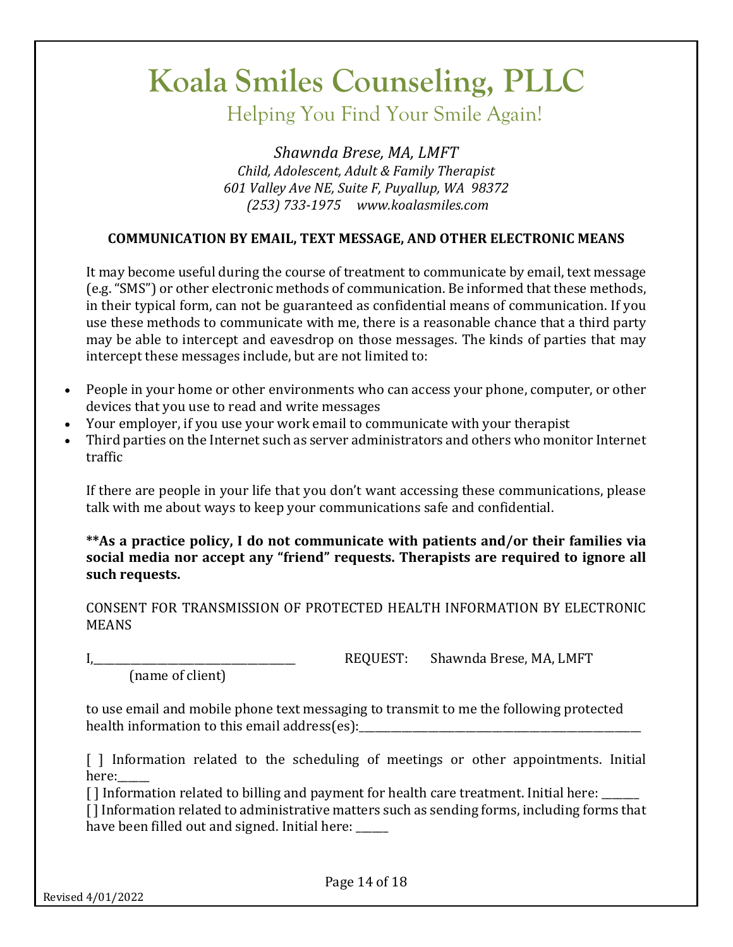Helping You Find Your Smile Again!

*Shawnda Brese, MA, LMFT Child, Adolescent, Adult & Family Therapist 601 Valley Ave NE, Suite F, Puyallup, WA 98372 (253) 733-1975 www.koalasmiles.com*

### **COMMUNICATION BY EMAIL, TEXT MESSAGE, AND OTHER ELECTRONIC MEANS**

It may become useful during the course of treatment to communicate by email, text message (e.g. "SMS") or other electronic methods of communication. Be informed that these methods, in their typical form, can not be guaranteed as confidential means of communication. If you use these methods to communicate with me, there is a reasonable chance that a third party may be able to intercept and eavesdrop on those messages. The kinds of parties that may intercept these messages include, but are not limited to:

- People in your home or other environments who can access your phone, computer, or other devices that you use to read and write messages
- Your employer, if you use your work email to communicate with your therapist
- Third parties on the Internet such as server administrators and others who monitor Internet traffic

If there are people in your life that you don't want accessing these communications, please talk with me about ways to keep your communications safe and confidential.

\*\*As a practice policy, I do not communicate with patients and/or their families via social media nor accept any "friend" requests. Therapists are required to ignore all such requests.

CONSENT FOR TRANSMISSION OF PROTECTED HEALTH INFORMATION BY ELECTRONIC MEANS

(name of client)

I,\_\_\_\_\_\_\_\_\_\_\_\_\_\_\_\_\_\_\_\_\_\_\_\_\_\_\_\_\_\_\_\_\_\_\_\_\_\_ REQUEST: Shawnda Brese, MA, LMFT

to use email and mobile phone text messaging to transmit to me the following protected health information to this email address(es): \_\_\_\_\_\_\_\_\_\_\_\_\_\_\_\_\_\_\_\_\_\_\_\_\_\_\_\_\_\_\_\_\_\_

[ ] Information related to the scheduling of meetings or other appointments. Initial here:

 $\lceil$  I Information related to billing and payment for health care treatment. Initial here:  $\lceil$ 

[] Information related to administrative matters such as sending forms, including forms that have been filled out and signed. Initial here: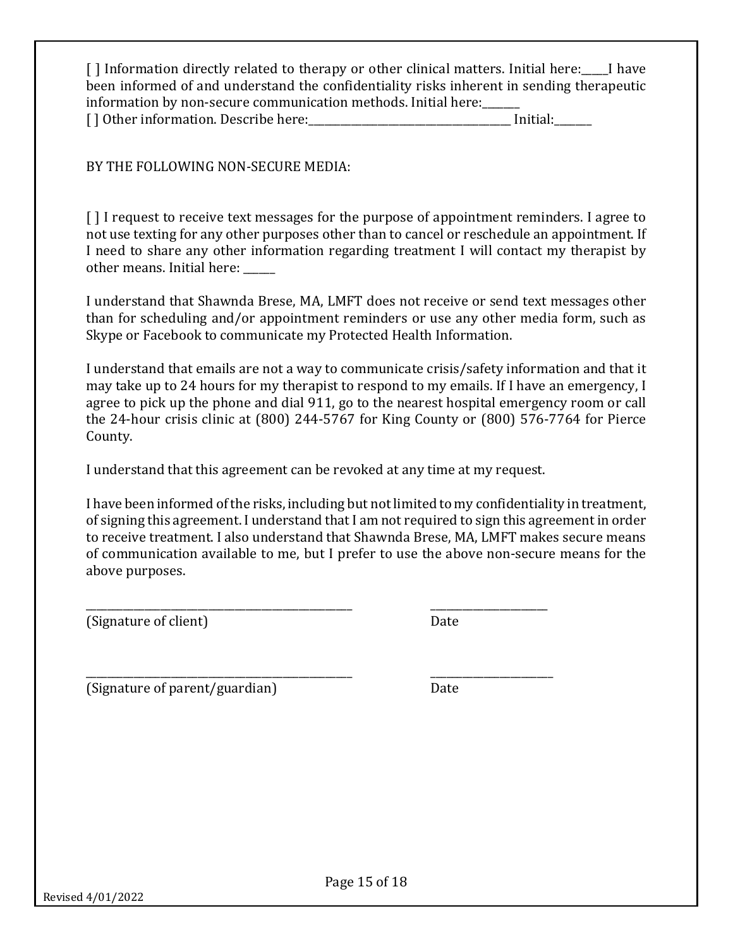[] Information directly related to therapy or other clinical matters. Initial here: I have been informed of and understand the confidentiality risks inherent in sending therapeutic information by non-secure communication methods. Initial here: [] Other information. Describe here: [10] Initial:

BY THE FOLLOWING NON-SECURE MEDIA:

[ ] I request to receive text messages for the purpose of appointment reminders. I agree to not use texting for any other purposes other than to cancel or reschedule an appointment. If I need to share any other information regarding treatment I will contact my therapist by other means. Initial here:

I understand that Shawnda Brese, MA, LMFT does not receive or send text messages other than for scheduling and/or appointment reminders or use any other media form, such as Skype or Facebook to communicate my Protected Health Information.

I understand that emails are not a way to communicate crisis/safety information and that it may take up to 24 hours for my therapist to respond to my emails. If I have an emergency, I agree to pick up the phone and dial 911, go to the nearest hospital emergency room or call the 24-hour crisis clinic at  $(800)$  244-5767 for King County or  $(800)$  576-7764 for Pierce County.

I understand that this agreement can be revoked at any time at my request.

\_\_\_\_\_\_\_\_\_\_\_\_\_\_\_\_\_\_\_\_\_\_\_\_\_\_\_\_\_\_\_\_\_\_\_\_\_\_\_\_\_\_\_\_\_\_\_\_\_\_ \_\_\_\_\_\_\_\_\_\_\_\_\_\_\_\_\_\_\_\_\_\_\_

I have been informed of the risks, including but not limited to my confidentiality in treatment, of signing this agreement. I understand that I am not required to sign this agreement in order to receive treatment. I also understand that Shawnda Brese, MA, LMFT makes secure means of communication available to me, but I prefer to use the above non-secure means for the above purposes.

(Signature of client) Date

\_\_\_\_\_\_\_\_\_\_\_\_\_\_\_\_\_\_\_\_\_\_\_\_\_\_\_\_\_\_\_\_\_\_\_\_\_\_\_\_\_\_\_\_\_\_\_\_\_\_ \_\_\_\_\_\_\_\_\_\_\_\_\_\_\_\_\_\_\_\_\_\_

(Signature of parent/guardian) Date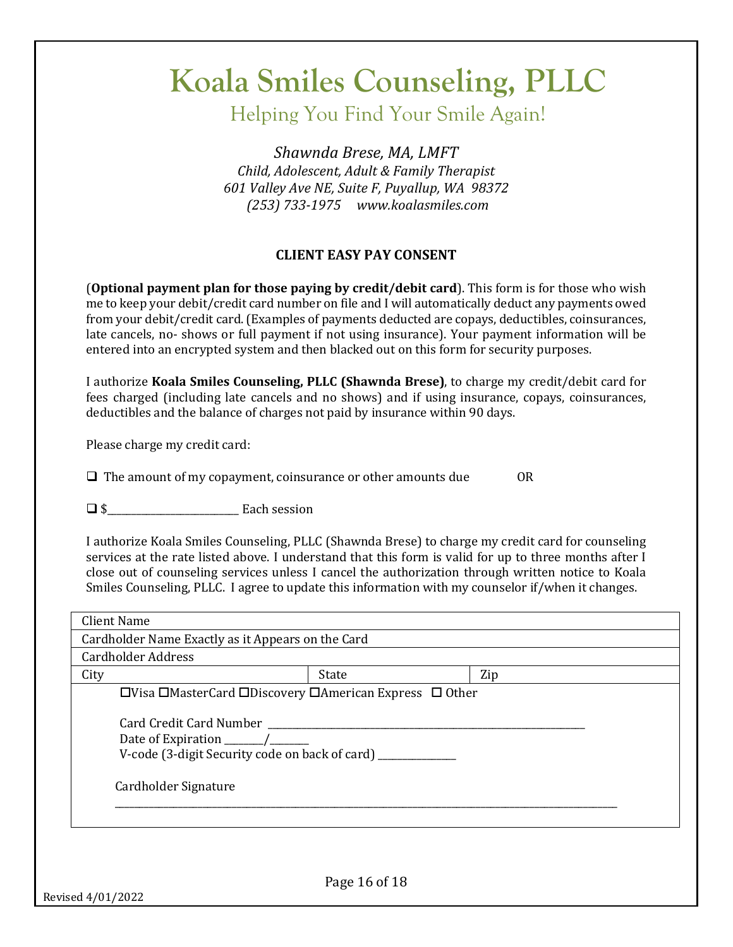Helping You Find Your Smile Again!

*Shawnda Brese, MA, LMFT Child, Adolescent, Adult & Family Therapist 601 Valley Ave NE, Suite F, Puyallup, WA 98372 (253) 733-1975 www.koalasmiles.com*

#### **CLIENT EASY PAY CONSENT**

**(Optional payment plan for those paying by credit/debit card)**. This form is for those who wish me to keep your debit/credit card number on file and I will automatically deduct any payments owed from your debit/credit card. (Examples of payments deducted are copays, deductibles, coinsurances, late cancels, no- shows or full payment if not using insurance). Your payment information will be entered into an encrypted system and then blacked out on this form for security purposes.

I authorize **Koala Smiles Counseling, PLLC (Shawnda Brese)**, to charge my credit/debit card for fees charged (including late cancels and no shows) and if using insurance, copays, coinsurances, deductibles and the balance of charges not paid by insurance within 90 days.

Please charge my credit card:

 $\Box$  The amount of my copayment, coinsurance or other amounts due OR

 $\Box$  \$ Each session

I authorize Koala Smiles Counseling, PLLC (Shawnda Brese) to charge my credit card for counseling services at the rate listed above. I understand that this form is valid for up to three months after I close out of counseling services unless I cancel the authorization through written notice to Koala Smiles Counseling, PLLC. I agree to update this information with my counselor if/when it changes.

| <b>Client Name</b>        |                                                                                          |     |  |
|---------------------------|------------------------------------------------------------------------------------------|-----|--|
|                           | Cardholder Name Exactly as it Appears on the Card                                        |     |  |
| <b>Cardholder Address</b> |                                                                                          |     |  |
| City                      | State                                                                                    | Zip |  |
|                           | $\Box$ Visa $\Box$ MasterCard $\Box$ Discovery $\Box$ American Express $\Box$ Other      |     |  |
| Cardholder Signature      | Card Credit Card Number<br>V-code (3-digit Security code on back of card) ______________ |     |  |
|                           | Page 16 of 18                                                                            |     |  |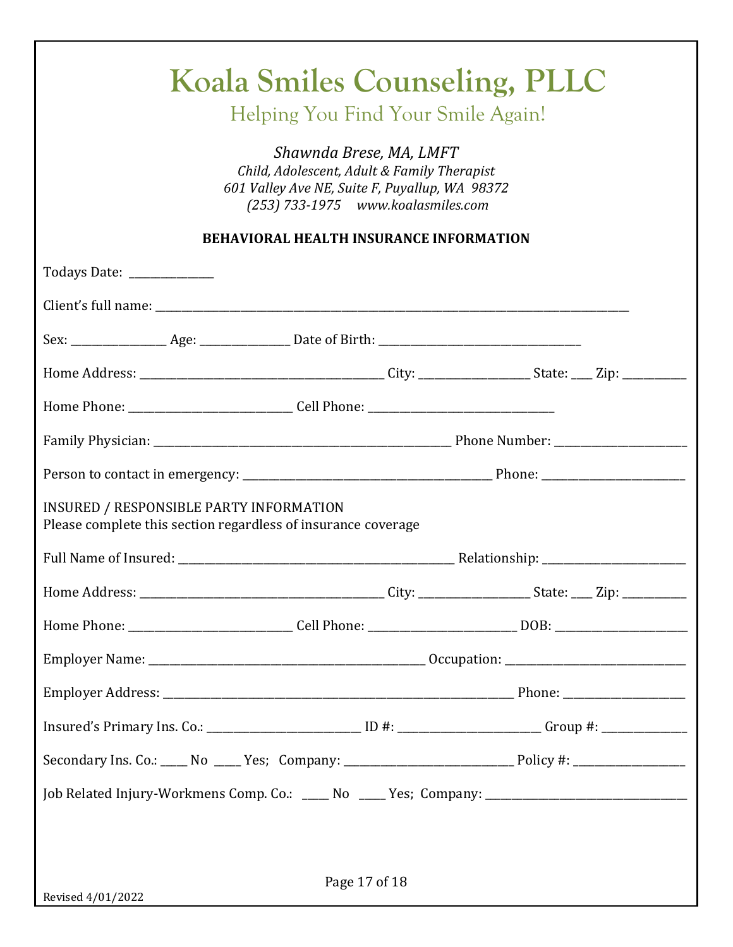| Child, Adolescent, Adult & Family Therapist<br>601 Valley Ave NE, Suite F, Puyallup, WA 98372                        |
|----------------------------------------------------------------------------------------------------------------------|
| (253) 733-1975 www.koalasmiles.com                                                                                   |
| <b>BEHAVIORAL HEALTH INSURANCE INFORMATION</b>                                                                       |
| Todays Date: _____________                                                                                           |
|                                                                                                                      |
|                                                                                                                      |
|                                                                                                                      |
|                                                                                                                      |
|                                                                                                                      |
|                                                                                                                      |
| INSURED / RESPONSIBLE PARTY INFORMATION<br>Please complete this section regardless of insurance coverage             |
|                                                                                                                      |
|                                                                                                                      |
| Home Phone: __________________________________Cell Phone: _______________________________DOB: ______________________ |
|                                                                                                                      |
|                                                                                                                      |
| Insured's Primary Ins. Co.: _______________________________ID #: __________________________Group #: ________________ |
| Secondary Ins. Co.: ____ No ____ Yes; Company: __________________________________Policy #: ___________________       |
| Job Related Injury-Workmens Comp. Co.: ____ No ____ Yes; Company: _________________________________                  |
|                                                                                                                      |
|                                                                                                                      |
| Page 17 of 18<br>Revised 4/01/2022                                                                                   |